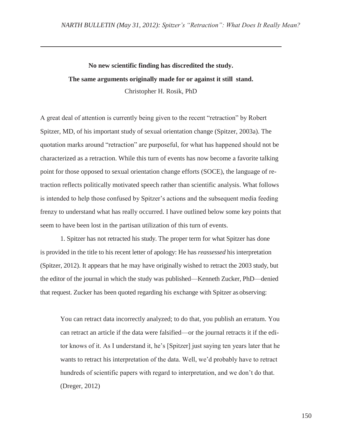## **No new scientific finding has discredited the study. The same arguments originally made for or against it still stand.** Christopher H. Rosik, PhD

A great deal of attention is currently being given to the recent "retraction" by Robert Spitzer, MD, of his important study of sexual orientation change (Spitzer, 2003a). The quotation marks around "retraction" are purposeful, for what has happened should not be characterized as a retraction. While this turn of events has now become a favorite talking point for those opposed to sexual orientation change efforts (SOCE), the language of retraction reflects politically motivated speech rather than scientific analysis. What follows is intended to help those confused by Spitzer's actions and the subsequent media feeding frenzy to understand what has really occurred. I have outlined below some key points that seem to have been lost in the partisan utilization of this turn of events.

1. Spitzer has not retracted his study. The proper term for what Spitzer has done is provided in the title to his recent letter of apology: He has *reassessed* his interpretation (Spitzer, 2012). It appears that he may have originally wished to retract the 2003 study, but the editor of the journal in which the study was published—Kenneth Zucker, PhD—denied that request. Zucker has been quoted regarding his exchange with Spitzer as observing:

You can retract data incorrectly analyzed; to do that, you publish an erratum. You can retract an article if the data were falsified—or the journal retracts it if the editor knows of it. As I understand it, he's [Spitzer] just saying ten years later that he wants to retract his interpretation of the data. Well, we'd probably have to retract hundreds of scientific papers with regard to interpretation, and we don't do that. (Dreger, 2012)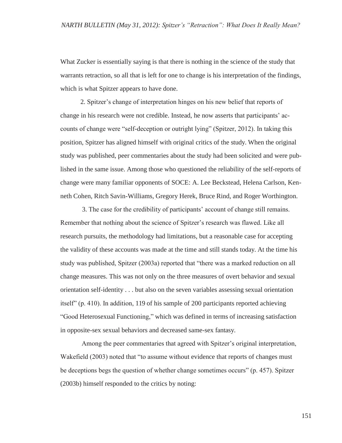What Zucker is essentially saying is that there is nothing in the science of the study that warrants retraction, so all that is left for one to change is his interpretation of the findings, which is what Spitzer appears to have done.

2. Spitzer's change of interpretation hinges on his new belief that reports of change in his research were not credible. Instead, he now asserts that participants' accounts of change were "self-deception or outright lying" (Spitzer, 2012). In taking this position, Spitzer has aligned himself with original critics of the study. When the original study was published, peer commentaries about the study had been solicited and were published in the same issue. Among those who questioned the reliability of the self-reports of change were many familiar opponents of SOCE: A. Lee Beckstead, Helena Carlson, Kenneth Cohen, Ritch Savin-Williams, Gregory Herek, Bruce Rind, and Roger Worthington.

3. The case for the credibility of participants' account of change still remains. Remember that nothing about the science of Spitzer's research was flawed. Like all research pursuits, the methodology had limitations, but a reasonable case for accepting the validity of these accounts was made at the time and still stands today. At the time his study was published, Spitzer (2003a) reported that "there was a marked reduction on all change measures. This was not only on the three measures of overt behavior and sexual orientation self-identity . . . but also on the seven variables assessing sexual orientation itself" (p. 410). In addition, 119 of his sample of 200 participants reported achieving "Good Heterosexual Functioning," which was defined in terms of increasing satisfaction in opposite-sex sexual behaviors and decreased same-sex fantasy.

Among the peer commentaries that agreed with Spitzer's original interpretation, Wakefield (2003) noted that "to assume without evidence that reports of changes must be deceptions begs the question of whether change sometimes occurs" (p. 457). Spitzer (2003b) himself responded to the critics by noting: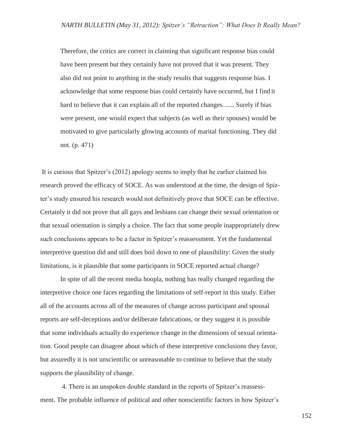Therefore, the critics are correct in claiming that significant response bias could have been present but they certainly have not proved that it was present. They also did not point to anything in the study results that suggests response bias. I acknowledge that some response bias could certainly have occurred, but I find it hard to believe that it can explain all of the reported changes....... Surely if bias were present, one would expect that subjects (as well as their spouses) would be motivated to give particularly glowing accounts of marital functioning. They did not. (p. 471)

It is curious that Spitzer's (2012) apology seems to imply that he earlier claimed his research proved the efficacy of SOCE. As was understood at the time, the design of Spizter's study ensured his research would not definitively prove that SOCE can be effective. Certainly it did not prove that all gays and lesbians can change their sexual orientation or that sexual orientation is simply a choice. The fact that some people inappropriately drew such conclusions appears to be a factor in Spitzer's reassessment. Yet the fundamental interpretive question did and still does boil down to one of plausibility: Given the study limitations, is it plausible that some participants in SOCE reported actual change?

In spite of all the recent media hoopla, nothing has really changed regarding the interpretive choice one faces regarding the limitations of self-report in this study. Either all of the accounts across all of the measures of change across participant and spousal reports are self-deceptions and/or deliberate fabrications, or they suggest it is possible that some individuals actually do experience change in the dimensions of sexual orientation. Good people can disagree about which of these interpretive conclusions they favor, but assuredly it is not unscientific or unreasonable to continue to believe that the study supports the plausibility of change.

4. There is an unspoken double standard in the reports of Spitzer's reassessment. The probable influence of political and other nonscientific factors in how Spitzer's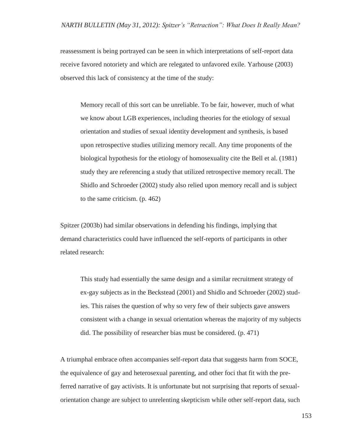reassessment is being portrayed can be seen in which interpretations of self-report data receive favored notoriety and which are relegated to unfavored exile. Yarhouse (2003) observed this lack of consistency at the time of the study:

Memory recall of this sort can be unreliable. To be fair, however, much of what we know about LGB experiences, including theories for the etiology of sexual orientation and studies of sexual identity development and synthesis, is based upon retrospective studies utilizing memory recall. Any time proponents of the biological hypothesis for the etiology of homosexuality cite the Bell et al. (1981) study they are referencing a study that utilized retrospective memory recall. The Shidlo and Schroeder (2002) study also relied upon memory recall and is subject to the same criticism. (p. 462)

Spitzer (2003b) had similar observations in defending his findings, implying that demand characteristics could have influenced the self-reports of participants in other related research:

This study had essentially the same design and a similar recruitment strategy of ex-gay subjects as in the Beckstead (2001) and Shidlo and Schroeder (2002) studies. This raises the question of why so very few of their subjects gave answers consistent with a change in sexual orientation whereas the majority of my subjects did. The possibility of researcher bias must be considered. (p. 471)

A triumphal embrace often accompanies self-report data that suggests harm from SOCE, the equivalence of gay and heterosexual parenting, and other foci that fit with the preferred narrative of gay activists. It is unfortunate but not surprising that reports of sexualorientation change are subject to unrelenting skepticism while other self-report data, such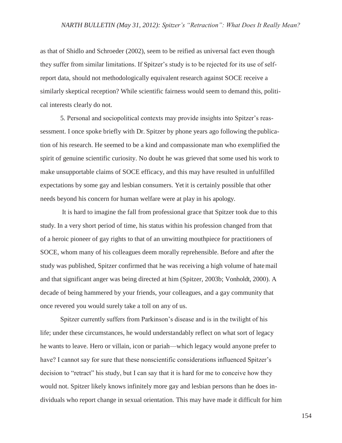as that of Shidlo and Schroeder (2002), seem to be reified as universal fact even though they suffer from similar limitations. If Spitzer's study is to be rejected for its use of selfreport data, should not methodologically equivalent research against SOCE receive a similarly skeptical reception? While scientific fairness would seem to demand this, political interests clearly do not.

5. Personal and sociopolitical contexts may provide insights into Spitzer's reassessment. I once spoke briefly with Dr. Spitzer by phone years ago following the publication of his research. He seemed to be a kind and compassionate man who exemplified the spirit of genuine scientific curiosity. No doubt he was grieved that some used his work to make unsupportable claims of SOCE efficacy, and this may have resulted in unfulfilled expectations by some gay and lesbian consumers. Yet it is certainly possible that other needs beyond his concern for human welfare were at play in his apology.

It is hard to imagine the fall from professional grace that Spitzer took due to this study. In a very short period of time, his status within his profession changed from that of a heroic pioneer of gay rights to that of an unwitting mouthpiece for practitioners of SOCE, whom many of his colleagues deem morally reprehensible. Before and after the study was published, Spitzer confirmed that he was receiving a high volume of hatemail and that significant anger was being directed at him (Spitzer, 2003b; Vonholdt, 2000). A decade of being hammered by your friends, your colleagues, and a gay community that once revered you would surely take a toll on any of us.

Spitzer currently suffers from Parkinson's disease and is in the twilight of his life; under these circumstances, he would understandably reflect on what sort of legacy he wants to leave. Hero or villain, icon or pariah—which legacy would anyone prefer to have? I cannot say for sure that these nonscientific considerations influenced Spitzer's decision to "retract" his study, but I can say that it is hard for me to conceive how they would not. Spitzer likely knows infinitely more gay and lesbian persons than he does individuals who report change in sexual orientation. This may have made it difficult for him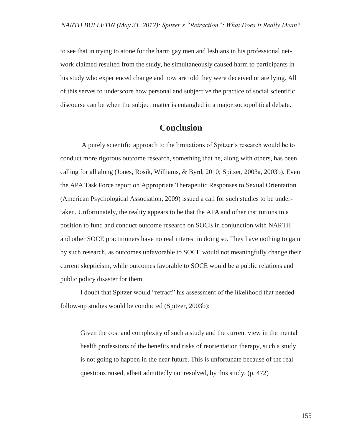to see that in trying to atone for the harm gay men and lesbians in his professional network claimed resulted from the study, he simultaneously caused harm to participants in his study who experienced change and now are told they were deceived or are lying. All of this serves to underscore how personal and subjective the practice of social scientific discourse can be when the subject matter is entangled in a major sociopolitical debate.

## **Conclusion**

A purely scientific approach to the limitations of Spitzer's research would be to conduct more rigorous outcome research, something that he, along with others, has been calling for all along (Jones, Rosik, Williams, & Byrd, 2010; Spitzer, 2003a, 2003b). Even the APA Task Force report on Appropriate Therapeutic Responses to Sexual Orientation (American Psychological Association, 2009) issued a call for such studies to be undertaken. Unfortunately, the reality appears to be that the APA and other institutions in a position to fund and conduct outcome research on SOCE in conjunction with NARTH and other SOCE practitioners have no real interest in doing so. They have nothing to gain by such research, as outcomes unfavorable to SOCE would not meaningfully change their current skepticism, while outcomes favorable to SOCE would be a public relations and public policy disaster for them.

I doubt that Spitzer would "retract" his assessment of the likelihood that needed follow-up studies would be conducted (Spitzer, 2003b):

Given the cost and complexity of such a study and the current view in the mental health professions of the benefits and risks of reorientation therapy, such a study is not going to happen in the near future. This is unfortunate because of the real questions raised, albeit admittedly not resolved, by this study. (p. 472)

155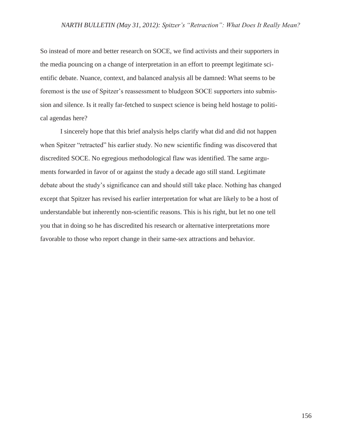So instead of more and better research on SOCE, we find activists and their supporters in the media pouncing on a change of interpretation in an effort to preempt legitimate scientific debate. Nuance, context, and balanced analysis all be damned: What seems to be foremost is the use of Spitzer's reassessment to bludgeon SOCE supporters into submission and silence. Is it really far-fetched to suspect science is being held hostage to political agendas here?

I sincerely hope that this brief analysis helps clarify what did and did not happen when Spitzer "retracted" his earlier study. No new scientific finding was discovered that discredited SOCE. No egregious methodological flaw was identified. The same arguments forwarded in favor of or against the study a decade ago still stand. Legitimate debate about the study's significance can and should still take place. Nothing has changed except that Spitzer has revised his earlier interpretation for what are likely to be a host of understandable but inherently non-scientific reasons. This is his right, but let no one tell you that in doing so he has discredited his research or alternative interpretations more favorable to those who report change in their same-sex attractions and behavior.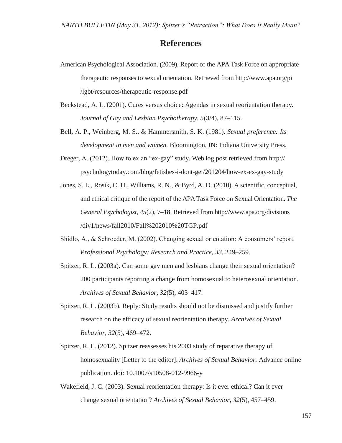## **References**

- American Psychological Association. (2009). Report of the APA Task Force on appropriate therapeutic responses to sexual orientation. Retrieved from<http://www.apa.org/pi> /lgbt/resources/therapeutic-response.pdf
- Beckstead, A. L. (2001). Cures versus choice: Agendas in sexual reorientation therapy*. Journal of Gay and Lesbian Psychotherapy, 5*(3/4), 87–115.
- Bell, A. P., Weinberg, M. S., & Hammersmith, S. K. (1981). *Sexual preference: Its development in men and women.* Bloomington, IN: Indiana University Press.
- Dreger, A. (2012). How to ex an "ex-gay" study. Web log post retrieved from http:// psychologytoday.com/blog/fetishes-i-dont-get/201204/how-ex-ex-gay-study
- Jones, S. L., Rosik, C. H., Williams, R. N., & Byrd, A. D. (2010). A scientific, conceptual, and ethical critique of the report of the APATask Force on Sexual Orientation. *The General Psychologist, 45*(2), 7–18. Retrieved from <http://www.apa.org/divisions> /div1/news/fall2010/Fall%202010%20TGP.pdf
- Shidlo, A., & Schroeder, M. (2002). Changing sexual orientation: A consumers' report. *Professional Psychology: Research and Practice, 33,* 249–259.
- Spitzer, R. L. (2003a). Can some gay men and lesbians change their sexual orientation? 200 participants reporting a change from homosexual to heterosexual orientation. *Archives of Sexual Behavior, 32*(5), 403–417.
- Spitzer, R. L. (2003b). Reply: Study results should not be dismissed and justify further research on the efficacy of sexual reorientation therapy. *Archives of Sexual Behavior, 32*(5), 469–472.
- Spitzer, R. L. (2012). Spitzer reassesses his 2003 study of reparative therapy of homosexuality [Letter to the editor]. *Archives of Sexual Behavior.* Advance online publication. doi: 10.1007/s10508-012-9966-y
- Wakefield, J. C. (2003). Sexual reorientation therapy: Is it ever ethical? Can it ever change sexual orientation? *Archives of Sexual Behavior, 32*(5), 457–459.